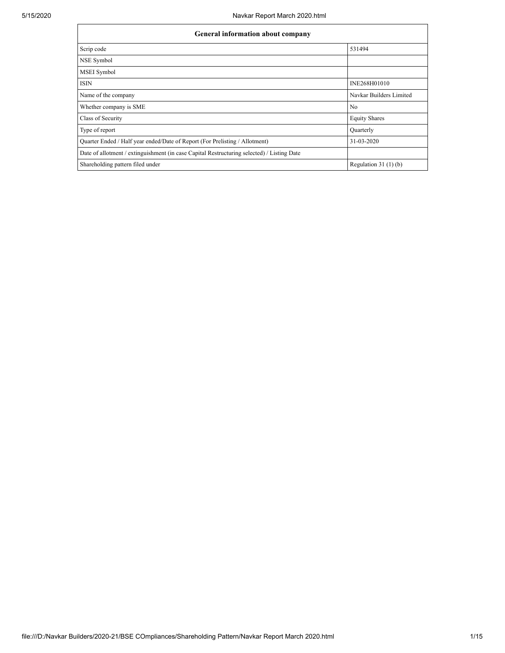| <b>General information about company</b>                                                   |                         |  |  |  |  |  |
|--------------------------------------------------------------------------------------------|-------------------------|--|--|--|--|--|
| Scrip code                                                                                 | 531494                  |  |  |  |  |  |
| NSE Symbol                                                                                 |                         |  |  |  |  |  |
| <b>MSEI</b> Symbol                                                                         |                         |  |  |  |  |  |
| <b>ISIN</b>                                                                                | INE268H01010            |  |  |  |  |  |
| Name of the company                                                                        | Navkar Builders Limited |  |  |  |  |  |
| Whether company is SME                                                                     | No                      |  |  |  |  |  |
| Class of Security                                                                          | <b>Equity Shares</b>    |  |  |  |  |  |
| Type of report                                                                             | Quarterly               |  |  |  |  |  |
| Quarter Ended / Half year ended/Date of Report (For Prelisting / Allotment)                | 31-03-2020              |  |  |  |  |  |
| Date of allotment / extinguishment (in case Capital Restructuring selected) / Listing Date |                         |  |  |  |  |  |
| Shareholding pattern filed under                                                           | Regulation $31(1)(b)$   |  |  |  |  |  |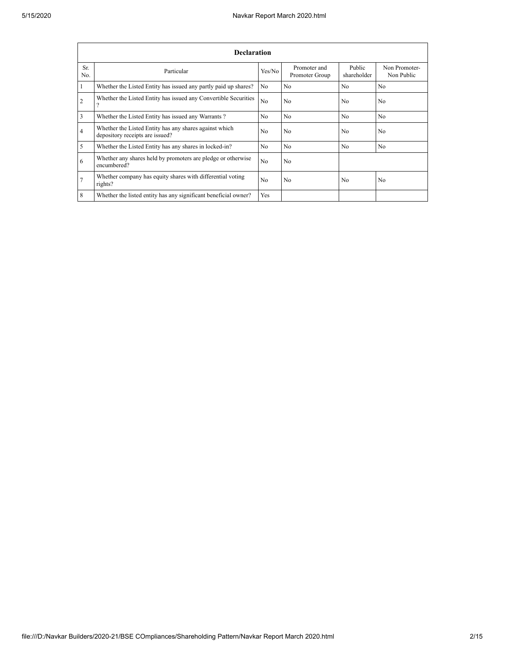|                | <b>Declaration</b>                                                                        |                |                                |                       |                             |  |  |  |  |
|----------------|-------------------------------------------------------------------------------------------|----------------|--------------------------------|-----------------------|-----------------------------|--|--|--|--|
| Sr.<br>No.     | Particular                                                                                | Yes/No         | Promoter and<br>Promoter Group | Public<br>shareholder | Non Promoter-<br>Non Public |  |  |  |  |
| -1             | Whether the Listed Entity has issued any partly paid up shares?                           | N <sub>o</sub> | N <sub>o</sub>                 | No                    | N <sub>o</sub>              |  |  |  |  |
| $\overline{2}$ | Whether the Listed Entity has issued any Convertible Securities                           | N <sub>0</sub> | N <sub>o</sub>                 | N <sub>0</sub>        | No.                         |  |  |  |  |
| 3              | Whether the Listed Entity has issued any Warrants?                                        | N <sub>0</sub> | N <sub>0</sub>                 | N <sub>0</sub>        | N <sub>0</sub>              |  |  |  |  |
| 4              | Whether the Listed Entity has any shares against which<br>depository receipts are issued? | N <sub>0</sub> | N <sub>o</sub>                 | No                    | N <sub>0</sub>              |  |  |  |  |
| 5              | Whether the Listed Entity has any shares in locked-in?                                    | N <sub>0</sub> | N <sub>o</sub>                 | N <sub>0</sub>        | N <sub>0</sub>              |  |  |  |  |
| 6              | Whether any shares held by promoters are pledge or otherwise<br>encumbered?               | N <sub>0</sub> | N <sub>o</sub>                 |                       |                             |  |  |  |  |
| $\overline{7}$ | Whether company has equity shares with differential voting<br>rights?                     | N <sub>0</sub> | N <sub>o</sub>                 | N <sub>0</sub>        | N <sub>0</sub>              |  |  |  |  |
| 8              | Whether the listed entity has any significant beneficial owner?                           | Yes            |                                |                       |                             |  |  |  |  |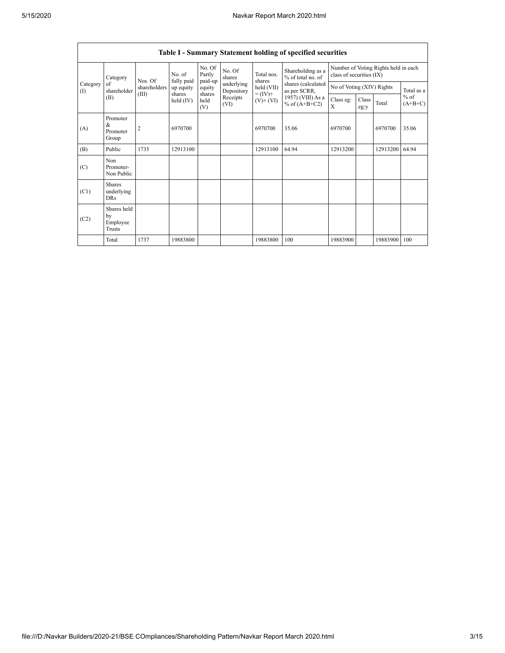r

|                 | <b>Table I - Summary Statement holding of specified securities</b> |                |                       |                             |                          |                                                                    |                                                                                                                      |                                                                  |               |          |                     |
|-----------------|--------------------------------------------------------------------|----------------|-----------------------|-----------------------------|--------------------------|--------------------------------------------------------------------|----------------------------------------------------------------------------------------------------------------------|------------------------------------------------------------------|---------------|----------|---------------------|
| Category<br>(1) | Category                                                           | Nos. Of        | No. of<br>fully paid  | No. Of<br>Partly<br>paid-up | No. Of<br>shares         | Total nos.<br>shares<br>held (VII)<br>$= (IV) +$<br>$(V)$ + $(VI)$ | Shareholding as a<br>% of total no. of<br>shares (calculated<br>as per SCRR,<br>1957) (VIII) As a<br>% of $(A+B+C2)$ | Number of Voting Rights held in each<br>class of securities (IX) |               |          |                     |
|                 | of<br>shareholder                                                  | shareholders   | up equity             | equity                      | underlying<br>Depository |                                                                    |                                                                                                                      | No of Voting (XIV) Rights                                        |               |          | Total as a          |
|                 | (II)                                                               | (III)          | shares<br>held $(IV)$ | shares<br>held<br>(V)       | Receipts<br>(VI)         |                                                                    |                                                                                                                      | Class eg:<br>$\mathbf{x}$                                        | Class<br>eg:y | Total    | $%$ of<br>$(A+B+C)$ |
| (A)             | Promoter<br>&<br>Promoter<br>Group                                 | $\overline{2}$ | 6970700               |                             |                          | 6970700                                                            | 35.06                                                                                                                | 6970700                                                          |               | 6970700  | 35.06               |
| (B)             | Public                                                             | 1735           | 12913100              |                             |                          | 12913100                                                           | 64.94                                                                                                                | 12913200                                                         |               | 12913200 | 64.94               |
| (C)             | Non<br>Promoter-<br>Non Public                                     |                |                       |                             |                          |                                                                    |                                                                                                                      |                                                                  |               |          |                     |
| (C1)            | <b>Shares</b><br>underlying<br><b>DRs</b>                          |                |                       |                             |                          |                                                                    |                                                                                                                      |                                                                  |               |          |                     |
| (C2)            | Shares held<br>by<br>Employee<br>Trusts                            |                |                       |                             |                          |                                                                    |                                                                                                                      |                                                                  |               |          |                     |
|                 | Total                                                              | 1737           | 19883800              |                             |                          | 19883800                                                           | 100                                                                                                                  | 19883900                                                         |               | 19883900 | 100                 |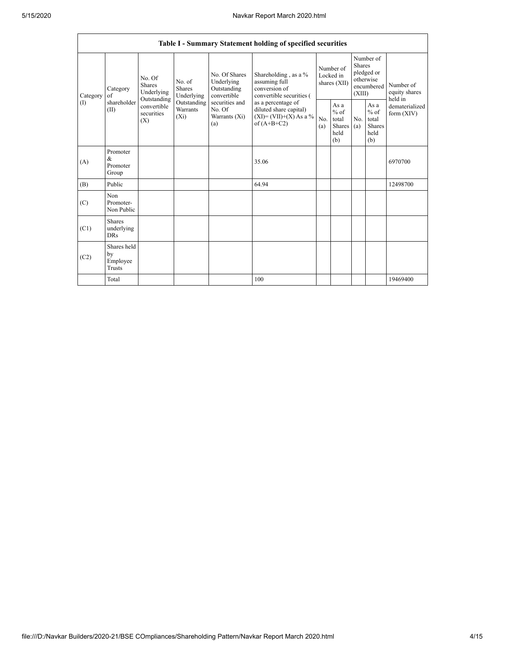|                       | Table I - Summary Statement holding of specified securities |                                                                                                                                                           |                                                     |                                                                                            |                                                                                    |                                                  |            |                                                                        |                                |                                       |
|-----------------------|-------------------------------------------------------------|-----------------------------------------------------------------------------------------------------------------------------------------------------------|-----------------------------------------------------|--------------------------------------------------------------------------------------------|------------------------------------------------------------------------------------|--------------------------------------------------|------------|------------------------------------------------------------------------|--------------------------------|---------------------------------------|
| Category<br>of<br>(1) | Category<br>shareholder<br>(II)<br>(X)                      | No. Of<br>No. of<br><b>Shares</b><br>Shares<br>Underlying<br>Underlying<br>Outstanding<br>Outstanding<br>convertible<br>Warrants<br>securities<br>$(X_i)$ |                                                     | No. Of Shares<br>Underlying<br>Outstanding<br>convertible                                  | Shareholding, as a %<br>assuming full<br>conversion of<br>convertible securities ( | Number of<br>Locked in<br>shares (XII)           |            | Number of<br>Shares<br>pledged or<br>otherwise<br>encumbered<br>(XIII) |                                | Number of<br>equity shares<br>held in |
|                       |                                                             |                                                                                                                                                           | securities and<br>No. Of<br>Warrants $(X_i)$<br>(a) | as a percentage of<br>diluted share capital)<br>$(XI) = (VII)+(X) As a %$<br>of $(A+B+C2)$ | No.<br>(a)                                                                         | As a<br>$%$ of<br>total<br>Shares<br>held<br>(b) | No.<br>(a) | As a<br>$%$ of<br>total<br><b>Shares</b><br>held<br>(b)                | dematerialized<br>form $(XIV)$ |                                       |
| (A)                   | Promoter<br>&<br>Promoter<br>Group                          |                                                                                                                                                           |                                                     |                                                                                            | 35.06                                                                              |                                                  |            |                                                                        |                                | 6970700                               |
| (B)                   | Public                                                      |                                                                                                                                                           |                                                     |                                                                                            | 64.94                                                                              |                                                  |            |                                                                        |                                | 12498700                              |
| (C)                   | Non<br>Promoter-<br>Non Public                              |                                                                                                                                                           |                                                     |                                                                                            |                                                                                    |                                                  |            |                                                                        |                                |                                       |
| (C1)                  | <b>Shares</b><br>underlying<br><b>DRs</b>                   |                                                                                                                                                           |                                                     |                                                                                            |                                                                                    |                                                  |            |                                                                        |                                |                                       |
| (C2)                  | Shares held<br>by<br>Employee<br><b>Trusts</b>              |                                                                                                                                                           |                                                     |                                                                                            |                                                                                    |                                                  |            |                                                                        |                                |                                       |
|                       | Total                                                       |                                                                                                                                                           |                                                     |                                                                                            | 100                                                                                |                                                  |            |                                                                        |                                | 19469400                              |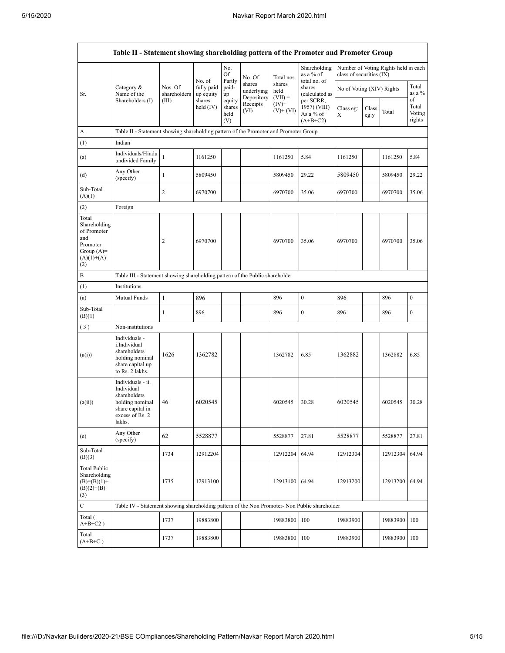|                                                                                                | Table II - Statement showing shareholding pattern of the Promoter and Promoter Group                                |                         |                                                |                                 |                                    |                             |                                                      |                           |               |                                      |                           |
|------------------------------------------------------------------------------------------------|---------------------------------------------------------------------------------------------------------------------|-------------------------|------------------------------------------------|---------------------------------|------------------------------------|-----------------------------|------------------------------------------------------|---------------------------|---------------|--------------------------------------|---------------------------|
|                                                                                                |                                                                                                                     |                         | No. of                                         | No.<br>Of                       | No. Of                             | Total nos.                  | Shareholding<br>as a % of                            | class of securities (IX)  |               | Number of Voting Rights held in each |                           |
| Sr.                                                                                            | Category &<br>Name of the                                                                                           | Nos. Of<br>shareholders | fully paid<br>up equity<br>shares<br>held (IV) | Partly<br>paid-<br>up           | shares<br>underlying<br>Depository | shares<br>held<br>$(VII) =$ | total no. of<br>shares<br>(calculated as             | No of Voting (XIV) Rights |               |                                      | Total<br>as a %<br>of     |
|                                                                                                | Shareholders (I)                                                                                                    | (III)                   |                                                | equity<br>shares<br>held<br>(V) | Receipts<br>(VI)                   | $(IV)^+$<br>$(V)$ + $(VI)$  | per SCRR,<br>1957) (VIII)<br>As a % of<br>$(A+B+C2)$ | Class eg:<br>X            | Class<br>eg:y | Total                                | Total<br>Voting<br>rights |
| А                                                                                              | Table II - Statement showing shareholding pattern of the Promoter and Promoter Group                                |                         |                                                |                                 |                                    |                             |                                                      |                           |               |                                      |                           |
| (1)                                                                                            | Indian                                                                                                              |                         |                                                |                                 |                                    |                             |                                                      |                           |               |                                      |                           |
| (a)                                                                                            | Individuals/Hindu<br>undivided Family                                                                               | $\,1$                   | 1161250                                        |                                 |                                    | 1161250                     | 5.84                                                 | 1161250                   |               | 1161250                              | 5.84                      |
| (d)                                                                                            | Any Other<br>(specify)                                                                                              | $\mathbf{1}$            | 5809450                                        |                                 |                                    | 5809450                     | 29.22                                                | 5809450                   |               | 5809450                              | 29.22                     |
| Sub-Total<br>(A)(1)                                                                            |                                                                                                                     | $\overline{c}$          | 6970700                                        |                                 |                                    | 6970700                     | 35.06                                                | 6970700                   |               | 6970700                              | 35.06                     |
| (2)                                                                                            | Foreign                                                                                                             |                         |                                                |                                 |                                    |                             |                                                      |                           |               |                                      |                           |
| Total<br>Shareholding<br>of Promoter<br>and<br>Promoter<br>Group $(A)=$<br>$(A)(1)+(A)$<br>(2) |                                                                                                                     | $\overline{c}$          | 6970700                                        |                                 |                                    | 6970700                     | 35.06                                                | 6970700                   |               | 6970700                              | 35.06                     |
| B                                                                                              | Table III - Statement showing shareholding pattern of the Public shareholder                                        |                         |                                                |                                 |                                    |                             |                                                      |                           |               |                                      |                           |
| (1)                                                                                            | Institutions                                                                                                        |                         |                                                |                                 |                                    |                             |                                                      |                           |               |                                      |                           |
| (a)                                                                                            | Mutual Funds                                                                                                        | $\mathbf{1}$            | 896                                            |                                 |                                    | 896                         | $\boldsymbol{0}$                                     | 896                       |               | 896                                  | $\boldsymbol{0}$          |
| Sub-Total<br>(B)(1)                                                                            |                                                                                                                     | $\mathbf{1}$            | 896                                            |                                 |                                    | 896                         | $\boldsymbol{0}$                                     | 896                       |               | 896                                  | $\boldsymbol{0}$          |
| (3)                                                                                            | Non-institutions                                                                                                    |                         |                                                |                                 |                                    |                             |                                                      |                           |               |                                      |                           |
| (a(i))                                                                                         | Individuals -<br>i.Individual<br>shareholders<br>holding nominal<br>share capital up<br>to Rs. 2 lakhs.             | 1626                    | 1362782                                        |                                 |                                    | 1362782                     | 6.85                                                 | 1362882                   |               | 1362882                              | 6.85                      |
| (a(ii))                                                                                        | Individuals - ii.<br>Individual<br>shareholders<br>holding nominal<br>share capital in<br>excess of Rs. 2<br>lakhs. | 46                      | 6020545                                        |                                 |                                    | 6020545                     | 30.28                                                | 6020545                   |               | 6020545                              | 30.28                     |
| (e)                                                                                            | Any Other<br>(specify)                                                                                              | 62                      | 5528877                                        |                                 |                                    | 5528877                     | 27.81                                                | 5528877                   |               | 5528877                              | 27.81                     |
| Sub-Total<br>(B)(3)                                                                            |                                                                                                                     | 1734                    | 12912204                                       |                                 |                                    | 12912204                    | 64.94                                                | 12912304                  |               | 12912304                             | 64.94                     |
| <b>Total Public</b><br>Shareholding<br>$(B)=(B)(1)+$<br>$(B)(2)+(B)$<br>(3)                    |                                                                                                                     | 1735                    | 12913100                                       |                                 |                                    | 12913100 64.94              |                                                      | 12913200                  |               | 12913200                             | 64.94                     |
| $\mathbf C$                                                                                    | Table IV - Statement showing shareholding pattern of the Non Promoter- Non Public shareholder                       |                         |                                                |                                 |                                    |                             |                                                      |                           |               |                                      |                           |
| Total (<br>$A+B+C2$ )                                                                          |                                                                                                                     | 1737                    | 19883800                                       |                                 |                                    | 19883800                    | 100                                                  | 19883900                  |               | 19883900                             | 100                       |
| Total<br>$(A+B+C)$                                                                             |                                                                                                                     | 1737                    | 19883800                                       |                                 |                                    | 19883800                    | 100                                                  | 19883900                  |               | 19883900                             | 100                       |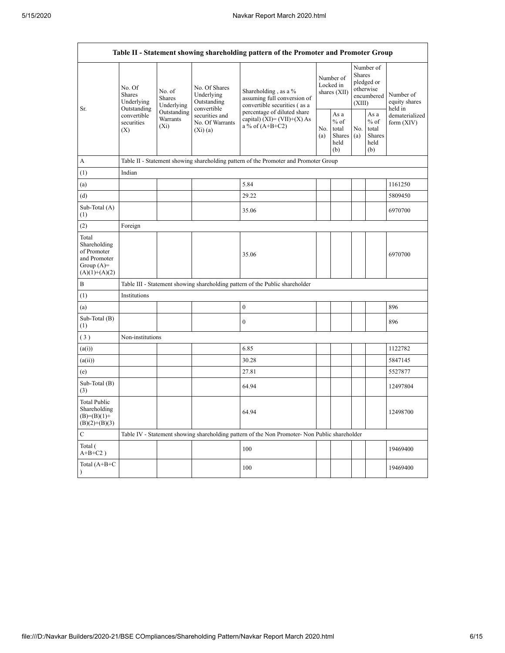| Table II - Statement showing shareholding pattern of the Promoter and Promoter Group    |                                                                          |                                                                                       |                                                           |                                                                                               |  |                                                  |            |                                                                        |                                                                       |
|-----------------------------------------------------------------------------------------|--------------------------------------------------------------------------|---------------------------------------------------------------------------------------|-----------------------------------------------------------|-----------------------------------------------------------------------------------------------|--|--------------------------------------------------|------------|------------------------------------------------------------------------|-----------------------------------------------------------------------|
| Sr.                                                                                     | No. Of<br>No. of<br>Shares<br><b>Shares</b><br>Underlying<br>Outstanding | Underlying                                                                            | No. Of Shares<br>Underlying<br>Outstanding<br>convertible | Shareholding, as a %<br>assuming full conversion of<br>convertible securities (as a           |  | Number of<br>Locked in<br>shares $(XII)$         |            | Number of<br>Shares<br>pledged or<br>otherwise<br>encumbered<br>(XIII) | Number of<br>equity shares<br>held in<br>dematerialized<br>form (XIV) |
|                                                                                         | convertible<br>securities<br>(X)                                         | Outstanding<br>securities and<br>Warrants<br>No. Of Warrants<br>$(X_i)$<br>$(X_i)(a)$ |                                                           | percentage of diluted share<br>capital) (XI)= $(VII)+(X)$ As<br>a % of $(A+B+C2)$             |  | As a<br>$%$ of<br>total<br>Shares<br>held<br>(b) | No.<br>(a) | As $\mathbf a$<br>$%$ of<br>total<br><b>Shares</b><br>held<br>(b)      |                                                                       |
| А                                                                                       |                                                                          |                                                                                       |                                                           | Table II - Statement showing shareholding pattern of the Promoter and Promoter Group          |  |                                                  |            |                                                                        |                                                                       |
| (1)                                                                                     | Indian                                                                   |                                                                                       |                                                           |                                                                                               |  |                                                  |            |                                                                        |                                                                       |
| (a)                                                                                     |                                                                          |                                                                                       |                                                           | 5.84                                                                                          |  |                                                  |            |                                                                        | 1161250                                                               |
| (d)                                                                                     |                                                                          |                                                                                       |                                                           | 29.22                                                                                         |  |                                                  |            |                                                                        | 5809450                                                               |
| Sub-Total (A)<br>(1)                                                                    |                                                                          |                                                                                       |                                                           | 35.06                                                                                         |  |                                                  |            |                                                                        | 6970700                                                               |
| (2)                                                                                     | Foreign                                                                  |                                                                                       |                                                           |                                                                                               |  |                                                  |            |                                                                        |                                                                       |
| Total<br>Shareholding<br>of Promoter<br>and Promoter<br>Group $(A)=$<br>$(A)(1)+(A)(2)$ |                                                                          |                                                                                       |                                                           | 35.06                                                                                         |  |                                                  |            |                                                                        | 6970700                                                               |
| $\boldsymbol{B}$                                                                        |                                                                          |                                                                                       |                                                           | Table III - Statement showing shareholding pattern of the Public shareholder                  |  |                                                  |            |                                                                        |                                                                       |
| (1)                                                                                     | Institutions                                                             |                                                                                       |                                                           |                                                                                               |  |                                                  |            |                                                                        |                                                                       |
| (a)                                                                                     |                                                                          |                                                                                       |                                                           | $\boldsymbol{0}$                                                                              |  |                                                  |            |                                                                        | 896                                                                   |
| Sub-Total (B)<br>(1)                                                                    |                                                                          |                                                                                       |                                                           | $\boldsymbol{0}$                                                                              |  |                                                  |            |                                                                        | 896                                                                   |
| (3)                                                                                     | Non-institutions                                                         |                                                                                       |                                                           |                                                                                               |  |                                                  |            |                                                                        |                                                                       |
| (a(i))                                                                                  |                                                                          |                                                                                       |                                                           | 6.85                                                                                          |  |                                                  |            |                                                                        | 1122782                                                               |
| (a(ii))                                                                                 |                                                                          |                                                                                       |                                                           | 30.28                                                                                         |  |                                                  |            |                                                                        | 5847145                                                               |
| (e)                                                                                     |                                                                          |                                                                                       |                                                           | 27.81                                                                                         |  |                                                  |            |                                                                        | 5527877                                                               |
| Sub-Total (B)<br>(3)                                                                    |                                                                          |                                                                                       |                                                           | 64.94                                                                                         |  |                                                  |            |                                                                        | 12497804                                                              |
| <b>Total Public</b><br>Shareholding<br>$(B)=(B)(1)+$<br>$(B)(2)+(B)(3)$                 |                                                                          |                                                                                       |                                                           | 64.94                                                                                         |  |                                                  |            |                                                                        | 12498700                                                              |
| $\mathbf C$                                                                             |                                                                          |                                                                                       |                                                           | Table IV - Statement showing shareholding pattern of the Non Promoter- Non Public shareholder |  |                                                  |            |                                                                        |                                                                       |
| Total (<br>$A+B+C2$ )                                                                   |                                                                          |                                                                                       |                                                           | 100                                                                                           |  |                                                  |            |                                                                        | 19469400                                                              |
| Total (A+B+C<br>$\lambda$                                                               |                                                                          |                                                                                       |                                                           | 100                                                                                           |  |                                                  |            |                                                                        | 19469400                                                              |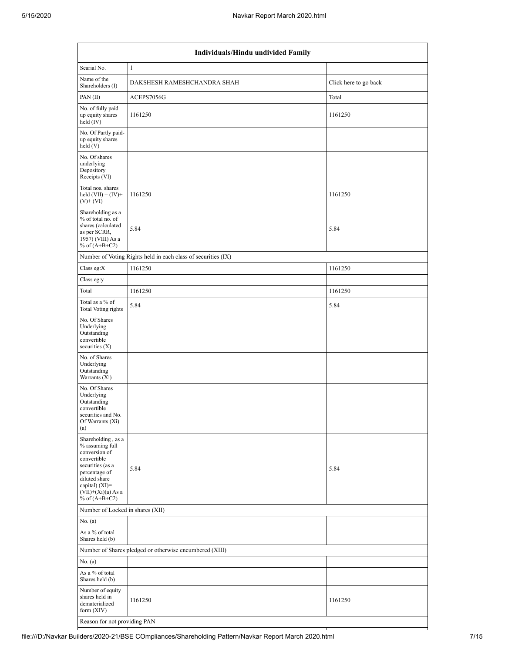| Individuals/Hindu undivided Family                                                                                                                                                       |                                                               |                       |  |  |  |  |  |  |
|------------------------------------------------------------------------------------------------------------------------------------------------------------------------------------------|---------------------------------------------------------------|-----------------------|--|--|--|--|--|--|
| Searial No.                                                                                                                                                                              | $\mathbf{1}$                                                  |                       |  |  |  |  |  |  |
| Name of the<br>Shareholders (I)                                                                                                                                                          | DAKSHESH RAMESHCHANDRA SHAH                                   | Click here to go back |  |  |  |  |  |  |
| PAN (II)                                                                                                                                                                                 | ACEPS7056G                                                    | Total                 |  |  |  |  |  |  |
| No. of fully paid<br>up equity shares<br>held (IV)                                                                                                                                       | 1161250                                                       | 1161250               |  |  |  |  |  |  |
| No. Of Partly paid-<br>up equity shares<br>held(V)                                                                                                                                       |                                                               |                       |  |  |  |  |  |  |
| No. Of shares<br>underlying<br>Depository<br>Receipts (VI)                                                                                                                               |                                                               |                       |  |  |  |  |  |  |
| Total nos. shares<br>held $(VII) = (IV) +$<br>$(V)$ + $(VI)$                                                                                                                             | 1161250                                                       | 1161250               |  |  |  |  |  |  |
| Shareholding as a<br>% of total no. of<br>shares (calculated<br>as per SCRR,<br>1957) (VIII) As a<br>% of $(A+B+C2)$                                                                     | 5.84                                                          | 5.84                  |  |  |  |  |  |  |
|                                                                                                                                                                                          | Number of Voting Rights held in each class of securities (IX) |                       |  |  |  |  |  |  |
| Class eg:X                                                                                                                                                                               | 1161250                                                       | 1161250               |  |  |  |  |  |  |
| Class eg:y                                                                                                                                                                               |                                                               |                       |  |  |  |  |  |  |
| Total                                                                                                                                                                                    | 1161250                                                       | 1161250               |  |  |  |  |  |  |
| Total as a % of<br>Total Voting rights                                                                                                                                                   | 5.84                                                          | 5.84                  |  |  |  |  |  |  |
| No. Of Shares<br>Underlying<br>Outstanding<br>convertible<br>securities $(X)$                                                                                                            |                                                               |                       |  |  |  |  |  |  |
| No. of Shares<br>Underlying<br>Outstanding<br>Warrants (Xi)                                                                                                                              |                                                               |                       |  |  |  |  |  |  |
| No. Of Shares<br>Underlying<br>Outstanding<br>convertible<br>securities and No.<br>Of Warrants (Xi)<br>(a)                                                                               |                                                               |                       |  |  |  |  |  |  |
| Shareholding, as a<br>% assuming full<br>conversion of<br>convertible<br>securities (as a<br>percentage of<br>diluted share<br>capital) (XI)=<br>$(VII)+(Xi)(a)$ As a<br>% of $(A+B+C2)$ | 5.84                                                          | 5.84                  |  |  |  |  |  |  |
| Number of Locked in shares (XII)                                                                                                                                                         |                                                               |                       |  |  |  |  |  |  |
| No. (a)                                                                                                                                                                                  |                                                               |                       |  |  |  |  |  |  |
| As a % of total<br>Shares held (b)                                                                                                                                                       |                                                               |                       |  |  |  |  |  |  |
|                                                                                                                                                                                          | Number of Shares pledged or otherwise encumbered (XIII)       |                       |  |  |  |  |  |  |
| No. (a)                                                                                                                                                                                  |                                                               |                       |  |  |  |  |  |  |
| As a % of total<br>Shares held (b)                                                                                                                                                       |                                                               |                       |  |  |  |  |  |  |
| Number of equity<br>shares held in<br>dematerialized<br>form (XIV)                                                                                                                       | 1161250                                                       | 1161250               |  |  |  |  |  |  |
| Reason for not providing PAN                                                                                                                                                             |                                                               |                       |  |  |  |  |  |  |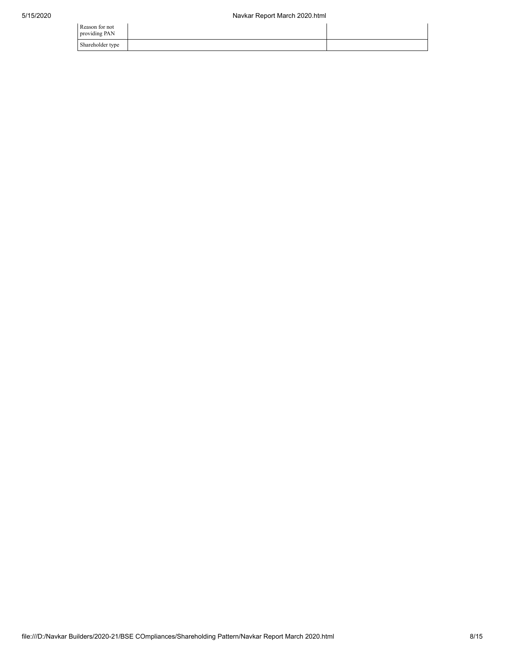| Reason for not<br>providing PAN |  |
|---------------------------------|--|
| Shareholder type                |  |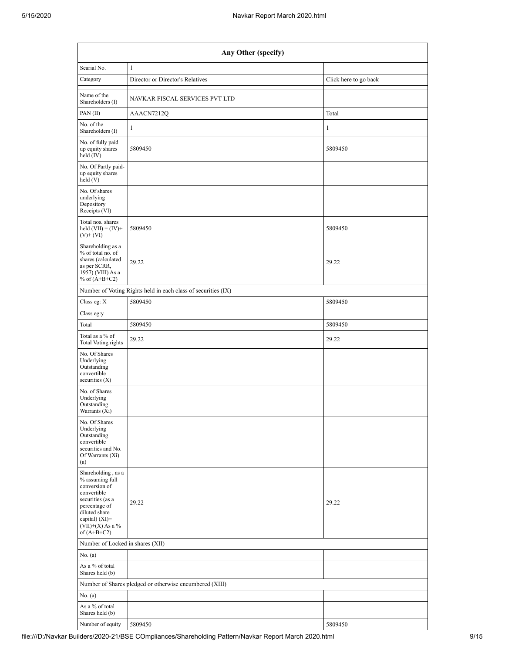| Any Other (specify)                                                                                                                                                                  |                                                               |                       |  |  |  |  |  |  |
|--------------------------------------------------------------------------------------------------------------------------------------------------------------------------------------|---------------------------------------------------------------|-----------------------|--|--|--|--|--|--|
| Searial No.                                                                                                                                                                          | $\mathbf{1}$                                                  |                       |  |  |  |  |  |  |
| Category                                                                                                                                                                             | Director or Director's Relatives                              | Click here to go back |  |  |  |  |  |  |
| Name of the<br>Shareholders (I)                                                                                                                                                      | NAVKAR FISCAL SERVICES PVT LTD                                |                       |  |  |  |  |  |  |
| PAN (II)                                                                                                                                                                             | AAACN7212Q                                                    | Total                 |  |  |  |  |  |  |
| No. of the<br>Shareholders (I)                                                                                                                                                       | $\mathbf{1}$                                                  | 1                     |  |  |  |  |  |  |
| No. of fully paid<br>up equity shares<br>held (IV)                                                                                                                                   | 5809450                                                       | 5809450               |  |  |  |  |  |  |
| No. Of Partly paid-<br>up equity shares<br>held(V)                                                                                                                                   |                                                               |                       |  |  |  |  |  |  |
| No. Of shares<br>underlying<br>Depository<br>Receipts (VI)                                                                                                                           |                                                               |                       |  |  |  |  |  |  |
| Total nos. shares<br>held $(VII) = (IV) +$<br>$(V)$ + $(VI)$                                                                                                                         | 5809450                                                       | 5809450               |  |  |  |  |  |  |
| Shareholding as a<br>% of total no. of<br>shares (calculated<br>as per SCRR,<br>1957) (VIII) As a<br>% of $(A+B+C2)$                                                                 | 29.22                                                         | 29.22                 |  |  |  |  |  |  |
|                                                                                                                                                                                      | Number of Voting Rights held in each class of securities (IX) |                       |  |  |  |  |  |  |
| Class eg: X                                                                                                                                                                          | 5809450                                                       | 5809450               |  |  |  |  |  |  |
| Class eg:y                                                                                                                                                                           |                                                               |                       |  |  |  |  |  |  |
| Total                                                                                                                                                                                | 5809450                                                       | 5809450               |  |  |  |  |  |  |
| Total as a % of<br>Total Voting rights                                                                                                                                               | 29.22                                                         | 29.22                 |  |  |  |  |  |  |
| No. Of Shares<br>Underlying<br>Outstanding<br>convertible<br>securities $(X)$                                                                                                        |                                                               |                       |  |  |  |  |  |  |
| No. of Shares<br>Underlying<br>Outstanding<br>Warrants (Xi)                                                                                                                          |                                                               |                       |  |  |  |  |  |  |
| No. Of Shares<br>Underlying<br>Outstanding<br>convertible<br>securities and No.<br>Of Warrants (Xi)<br>(a)                                                                           |                                                               |                       |  |  |  |  |  |  |
| Shareholding, as a<br>% assuming full<br>conversion of<br>convertible<br>securities (as a<br>percentage of<br>diluted share<br>capital) (XI)=<br>$(VII)+(X)$ As a %<br>of $(A+B+C2)$ | 29.22                                                         | 29.22                 |  |  |  |  |  |  |
| Number of Locked in shares (XII)                                                                                                                                                     |                                                               |                       |  |  |  |  |  |  |
| No. $(a)$                                                                                                                                                                            |                                                               |                       |  |  |  |  |  |  |
| As a % of total<br>Shares held (b)                                                                                                                                                   |                                                               |                       |  |  |  |  |  |  |
|                                                                                                                                                                                      | Number of Shares pledged or otherwise encumbered (XIII)       |                       |  |  |  |  |  |  |
| No. (a)                                                                                                                                                                              |                                                               |                       |  |  |  |  |  |  |
| As a % of total<br>Shares held (b)                                                                                                                                                   |                                                               |                       |  |  |  |  |  |  |
| Number of equity                                                                                                                                                                     | 5809450                                                       | 5809450               |  |  |  |  |  |  |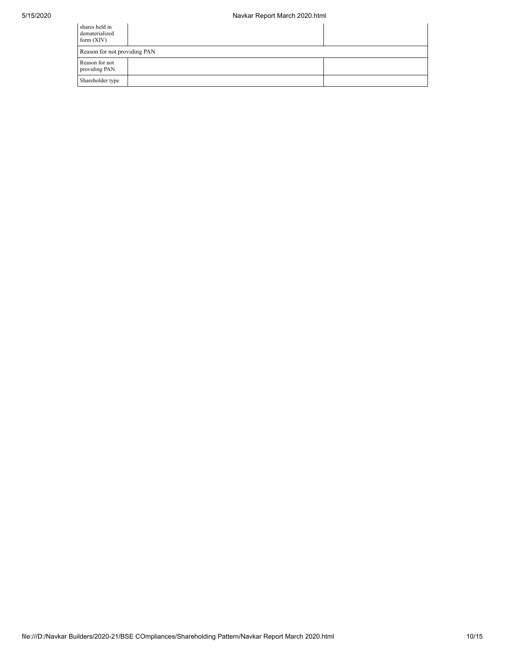| shares held in<br>dematerialized<br>form $(XIV)$ |  |  |  |  |  |  |  |
|--------------------------------------------------|--|--|--|--|--|--|--|
| Reason for not providing PAN                     |  |  |  |  |  |  |  |
| Reason for not<br>providing PAN                  |  |  |  |  |  |  |  |
| Shareholder type                                 |  |  |  |  |  |  |  |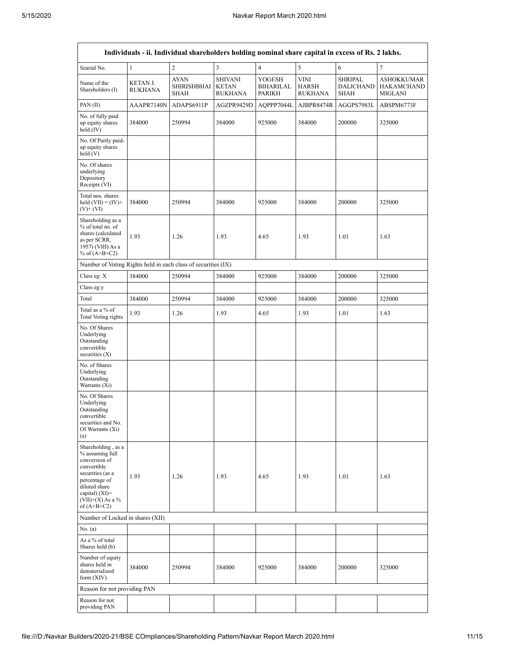|                                                                                                                                                                                      | Individuals - ii. Individual shareholders holding nominal share capital in excess of Rs. 2 lakhs. |                                           |                                                  |                               |                                        |                                                   |                                                          |  |  |  |
|--------------------------------------------------------------------------------------------------------------------------------------------------------------------------------------|---------------------------------------------------------------------------------------------------|-------------------------------------------|--------------------------------------------------|-------------------------------|----------------------------------------|---------------------------------------------------|----------------------------------------------------------|--|--|--|
| Searial No.                                                                                                                                                                          | $\mathbf{1}$                                                                                      | $\overline{c}$                            | $\mathfrak{Z}$                                   | $\overline{4}$                | 5                                      | 6                                                 | $\overline{7}$                                           |  |  |  |
| Name of the<br>Shareholders (I)                                                                                                                                                      | KETAN J.<br>RUKHANA                                                                               | <b>AYAN</b><br><b>SHIRISHBHAI</b><br>SHAH | <b>SHIVANI</b><br><b>KETAN</b><br><b>RUKHANA</b> | YOGESH<br>BIHARILAL<br>PARIKH | VINI<br><b>HARSH</b><br><b>RUKHANA</b> | <b>SHRIPAL</b><br><b>DALICHAND</b><br><b>SHAH</b> | <b>ASHOKKUMAR</b><br><b>HAKAMCHAND</b><br><b>MIGLANI</b> |  |  |  |
| PAN (II)                                                                                                                                                                             | AAAPR7140N                                                                                        | ADAPS6911P                                | AGZPR9429D                                       | AQPPP7044L                    | AJBPR8474R                             | AGGPS7983L                                        | ABSPM6773F                                               |  |  |  |
| No. of fully paid<br>up equity shares<br>held (IV)                                                                                                                                   | 384000                                                                                            | 250994                                    | 384000                                           | 925000                        | 384000                                 | 200000                                            | 325000                                                   |  |  |  |
| No. Of Partly paid-<br>up equity shares<br>held(V)                                                                                                                                   |                                                                                                   |                                           |                                                  |                               |                                        |                                                   |                                                          |  |  |  |
| No. Of shares<br>underlying<br>Depository<br>Receipts (VI)                                                                                                                           |                                                                                                   |                                           |                                                  |                               |                                        |                                                   |                                                          |  |  |  |
| Total nos. shares<br>held $(VII) = (IV) +$<br>$(V)$ + $(VI)$                                                                                                                         | 384000                                                                                            | 250994                                    | 384000                                           | 925000                        | 384000                                 | 200000                                            | 325000                                                   |  |  |  |
| Shareholding as a<br>% of total no. of<br>shares (calculated<br>as per SCRR,<br>1957) (VIII) As a<br>% of $(A+B+C2)$                                                                 | 1.93                                                                                              | 1.26                                      | 1.93                                             | 4.65                          | 1.93                                   | 1.01                                              | 1.63                                                     |  |  |  |
| Number of Voting Rights held in each class of securities (IX)                                                                                                                        |                                                                                                   |                                           |                                                  |                               |                                        |                                                   |                                                          |  |  |  |
| Class eg: X                                                                                                                                                                          | 384000                                                                                            | 250994                                    | 384000                                           | 925000                        | 384000                                 | 200000                                            | 325000                                                   |  |  |  |
| Class eg:y                                                                                                                                                                           |                                                                                                   |                                           |                                                  |                               |                                        |                                                   |                                                          |  |  |  |
| Total                                                                                                                                                                                | 384000                                                                                            | 250994                                    | 384000                                           | 925000                        | 384000                                 | 200000                                            | 325000                                                   |  |  |  |
| Total as a % of<br>Total Voting rights                                                                                                                                               | 1.93                                                                                              | 1.26                                      | 1.93                                             | 4.65                          | 1.93                                   | 1.01                                              | 1.63                                                     |  |  |  |
| No. Of Shares<br>Underlying<br>Outstanding<br>convertible<br>securities $(X)$                                                                                                        |                                                                                                   |                                           |                                                  |                               |                                        |                                                   |                                                          |  |  |  |
| No. of Shares<br>Underlying<br>Outstanding<br>Warrants (Xi)                                                                                                                          |                                                                                                   |                                           |                                                  |                               |                                        |                                                   |                                                          |  |  |  |
| No. Of Shares<br>Underlying<br>Outstanding<br>convertible<br>securities and No.<br>Of Warrants (Xi)<br>(a)                                                                           |                                                                                                   |                                           |                                                  |                               |                                        |                                                   |                                                          |  |  |  |
| Shareholding, as a<br>% assuming full<br>conversion of<br>convertible<br>securities (as a<br>percentage of<br>diluted share<br>capital) (XI)=<br>$(VII)+(X)$ As a %<br>of $(A+B+C2)$ | 1.93                                                                                              | 1.26                                      | 1.93                                             | 4.65                          | 1.93                                   | 1.01                                              | 1.63                                                     |  |  |  |
| Number of Locked in shares (XII)                                                                                                                                                     |                                                                                                   |                                           |                                                  |                               |                                        |                                                   |                                                          |  |  |  |
| No. (a)                                                                                                                                                                              |                                                                                                   |                                           |                                                  |                               |                                        |                                                   |                                                          |  |  |  |
| As a % of total<br>Shares held (b)                                                                                                                                                   |                                                                                                   |                                           |                                                  |                               |                                        |                                                   |                                                          |  |  |  |
| Number of equity<br>shares held in<br>dematerialized<br>form $(XIV)$                                                                                                                 | 384000                                                                                            | 250994                                    | 384000                                           | 925000                        | 384000                                 | 200000                                            | 325000                                                   |  |  |  |
| Reason for not providing PAN                                                                                                                                                         |                                                                                                   |                                           |                                                  |                               |                                        |                                                   |                                                          |  |  |  |
| Reason for not<br>providing PAN                                                                                                                                                      |                                                                                                   |                                           |                                                  |                               |                                        |                                                   |                                                          |  |  |  |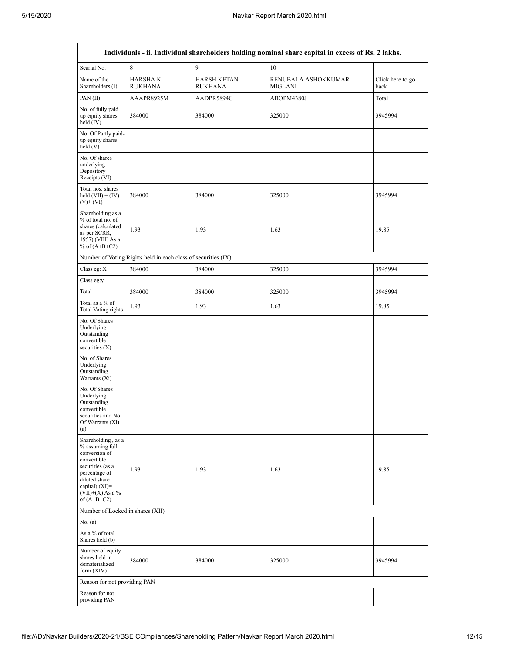| Individuals - ii. Individual shareholders holding nominal share capital in excess of Rs. 2 lakhs.                                                                                    |                                                               |                                      |                                       |                          |  |  |  |  |
|--------------------------------------------------------------------------------------------------------------------------------------------------------------------------------------|---------------------------------------------------------------|--------------------------------------|---------------------------------------|--------------------------|--|--|--|--|
| Searial No.                                                                                                                                                                          | 8                                                             | 9                                    | 10                                    |                          |  |  |  |  |
| Name of the<br>Shareholders (I)                                                                                                                                                      | HARSHA K.<br><b>RUKHANA</b>                                   | <b>HARSH KETAN</b><br><b>RUKHANA</b> | RENUBALA ASHOKKUMAR<br><b>MIGLANI</b> | Click here to go<br>back |  |  |  |  |
| PAN (II)                                                                                                                                                                             | AAAPR8925M                                                    | AADPR5894C                           | ABOPM4380J                            | Total                    |  |  |  |  |
| No. of fully paid<br>up equity shares<br>held $(IV)$                                                                                                                                 | 384000                                                        | 384000                               | 325000                                | 3945994                  |  |  |  |  |
| No. Of Partly paid-<br>up equity shares<br>held(V)                                                                                                                                   |                                                               |                                      |                                       |                          |  |  |  |  |
| No. Of shares<br>underlying<br>Depository<br>Receipts (VI)                                                                                                                           |                                                               |                                      |                                       |                          |  |  |  |  |
| Total nos. shares<br>held $(VII) = (IV) +$<br>$(V)$ + $(VI)$                                                                                                                         | 384000                                                        | 384000                               | 325000                                | 3945994                  |  |  |  |  |
| Shareholding as a<br>% of total no. of<br>shares (calculated<br>as per SCRR,<br>1957) (VIII) As a<br>% of $(A+B+C2)$                                                                 | 1.93                                                          | 1.93                                 | 1.63                                  | 19.85                    |  |  |  |  |
|                                                                                                                                                                                      | Number of Voting Rights held in each class of securities (IX) |                                      |                                       |                          |  |  |  |  |
| Class eg: X                                                                                                                                                                          | 384000                                                        | 384000                               | 325000                                | 3945994                  |  |  |  |  |
| Class eg:y                                                                                                                                                                           |                                                               |                                      |                                       |                          |  |  |  |  |
| Total                                                                                                                                                                                | 384000                                                        | 384000                               | 325000                                | 3945994                  |  |  |  |  |
| Total as a % of<br><b>Total Voting rights</b>                                                                                                                                        | 1.93                                                          | 1.93                                 | 1.63                                  | 19.85                    |  |  |  |  |
| No. Of Shares<br>Underlying<br>Outstanding<br>convertible<br>securities $(X)$                                                                                                        |                                                               |                                      |                                       |                          |  |  |  |  |
| No. of Shares<br>Underlying<br>Outstanding<br>Warrants (Xi)                                                                                                                          |                                                               |                                      |                                       |                          |  |  |  |  |
| No. Of Shares<br>Underlying<br>Outstanding<br>convertible<br>securities and No.<br>Of Warrants (Xi)<br>(a)                                                                           |                                                               |                                      |                                       |                          |  |  |  |  |
| Shareholding, as a<br>% assuming full<br>conversion of<br>convertible<br>securities (as a<br>percentage of<br>diluted share<br>capital) (XI)=<br>$(VII)+(X)$ As a %<br>of $(A+B+C2)$ | 1.93                                                          | 1.93                                 | 1.63                                  | 19.85                    |  |  |  |  |
| Number of Locked in shares (XII)                                                                                                                                                     |                                                               |                                      |                                       |                          |  |  |  |  |
| No. $(a)$                                                                                                                                                                            |                                                               |                                      |                                       |                          |  |  |  |  |
| As a % of total<br>Shares held (b)                                                                                                                                                   |                                                               |                                      |                                       |                          |  |  |  |  |
| Number of equity<br>shares held in<br>dematerialized<br>form $(XIV)$                                                                                                                 | 384000                                                        | 384000                               | 325000                                | 3945994                  |  |  |  |  |
| Reason for not providing PAN                                                                                                                                                         |                                                               |                                      |                                       |                          |  |  |  |  |
| Reason for not<br>providing PAN                                                                                                                                                      |                                                               |                                      |                                       |                          |  |  |  |  |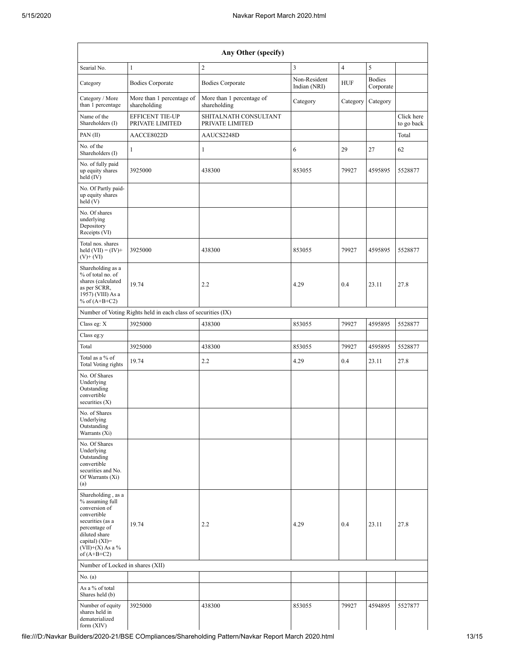| Any Other (specify)                                                                                                                                                                    |                                                               |                                           |                              |                |                            |                          |  |  |  |  |  |
|----------------------------------------------------------------------------------------------------------------------------------------------------------------------------------------|---------------------------------------------------------------|-------------------------------------------|------------------------------|----------------|----------------------------|--------------------------|--|--|--|--|--|
| Searial No.                                                                                                                                                                            | $\mathbf{1}$                                                  | $\sqrt{2}$                                | $\overline{3}$               | $\overline{4}$ | 5                          |                          |  |  |  |  |  |
| Category                                                                                                                                                                               | <b>Bodies Corporate</b>                                       | <b>Bodies Corporate</b>                   | Non-Resident<br>Indian (NRI) | <b>HUF</b>     | <b>Bodies</b><br>Corporate |                          |  |  |  |  |  |
| Category / More<br>than 1 percentage                                                                                                                                                   | More than 1 percentage of<br>shareholding                     | More than 1 percentage of<br>shareholding | Category                     | Category       | Category                   |                          |  |  |  |  |  |
| Name of the<br>Shareholders (I)                                                                                                                                                        | <b>EFFICENT TIE-UP</b><br>PRIVATE LIMITED                     | SHITALNATH CONSULTANT<br>PRIVATE LIMITED  |                              |                |                            | Click here<br>to go back |  |  |  |  |  |
| PAN (II)                                                                                                                                                                               | AACCE8022D                                                    | AAUCS2248D                                |                              |                |                            | Total                    |  |  |  |  |  |
| No. of the<br>Shareholders (I)                                                                                                                                                         | $\mathbf{1}$                                                  | $\mathbf{1}$                              | 6                            | 29             | 27                         | 62                       |  |  |  |  |  |
| No. of fully paid<br>up equity shares<br>held (IV)                                                                                                                                     | 3925000                                                       | 438300                                    | 853055                       | 79927          | 4595895                    | 5528877                  |  |  |  |  |  |
| No. Of Partly paid-<br>up equity shares<br>held (V)                                                                                                                                    |                                                               |                                           |                              |                |                            |                          |  |  |  |  |  |
| No. Of shares<br>underlying<br>Depository<br>Receipts (VI)                                                                                                                             |                                                               |                                           |                              |                |                            |                          |  |  |  |  |  |
| Total nos. shares<br>held $(VII) = (IV) +$<br>$(V)$ + $(VI)$                                                                                                                           | 3925000                                                       | 438300                                    | 853055                       | 79927          | 4595895                    | 5528877                  |  |  |  |  |  |
| Shareholding as a<br>% of total no. of<br>shares (calculated<br>as per SCRR,<br>1957) (VIII) As a<br>% of $(A+B+C2)$                                                                   | 19.74                                                         | 2.2                                       | 4.29                         | 0.4            | 23.11                      | 27.8                     |  |  |  |  |  |
|                                                                                                                                                                                        | Number of Voting Rights held in each class of securities (IX) |                                           |                              |                |                            |                          |  |  |  |  |  |
| Class eg: X                                                                                                                                                                            | 3925000                                                       | 438300                                    | 853055                       | 79927          | 4595895                    | 5528877                  |  |  |  |  |  |
| Class eg:y                                                                                                                                                                             |                                                               |                                           |                              |                |                            |                          |  |  |  |  |  |
| Total                                                                                                                                                                                  | 3925000                                                       | 438300                                    | 853055                       | 79927          | 4595895                    | 5528877                  |  |  |  |  |  |
| Total as a % of<br>Total Voting rights                                                                                                                                                 | 19.74                                                         | 2.2                                       | 4.29                         | 0.4            | 23.11                      | 27.8                     |  |  |  |  |  |
| No. Of Shares<br>Underlying<br>Outstanding<br>convertible<br>securities $(X)$                                                                                                          |                                                               |                                           |                              |                |                            |                          |  |  |  |  |  |
| No. of Shares<br>Underlying<br>Outstanding<br>Warrants (Xi)                                                                                                                            |                                                               |                                           |                              |                |                            |                          |  |  |  |  |  |
| No. Of Shares<br>Underlying<br>Outstanding<br>convertible<br>securities and No.<br>Of Warrants (Xi)<br>(a)                                                                             |                                                               |                                           |                              |                |                            |                          |  |  |  |  |  |
| Shareholding, as a<br>% assuming full<br>conversion of<br>convertible<br>securities (as a<br>percentage of<br>diluted share<br>capital) $(XI)=$<br>$(VII)+(X)$ As a %<br>of $(A+B+C2)$ | 19.74                                                         | 2.2                                       | 4.29                         | 0.4            | 23.11                      | 27.8                     |  |  |  |  |  |
| Number of Locked in shares (XII)                                                                                                                                                       |                                                               |                                           |                              |                |                            |                          |  |  |  |  |  |
| No. (a)                                                                                                                                                                                |                                                               |                                           |                              |                |                            |                          |  |  |  |  |  |
| As a % of total<br>Shares held (b)                                                                                                                                                     |                                                               |                                           |                              |                |                            |                          |  |  |  |  |  |
| Number of equity<br>shares held in<br>dematerialized<br>form (XIV)                                                                                                                     | 3925000                                                       | 438300                                    | 853055                       | 79927          | 4594895                    | 5527877                  |  |  |  |  |  |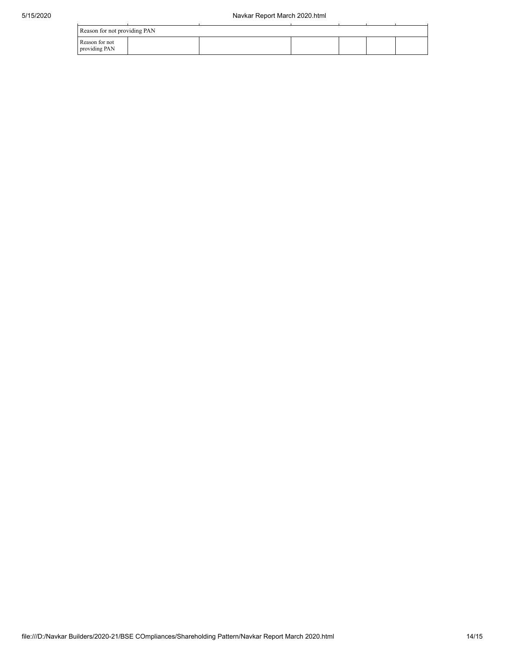| Reason for not providing PAN    |  |  |  |  |  |  |  |  |  |
|---------------------------------|--|--|--|--|--|--|--|--|--|
| Reason for not<br>providing PAN |  |  |  |  |  |  |  |  |  |